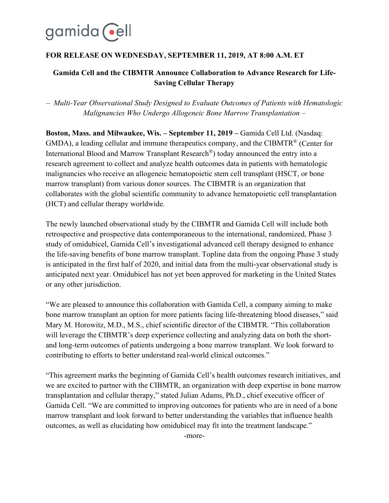# gamida cell

# **FOR RELEASE ON WEDNESDAY, SEPTEMBER 11, 2019, AT 8:00 A.M. ET**

# **Gamida Cell and the CIBMTR Announce Collaboration to Advance Research for Life-Saving Cellular Therapy**

*– Multi-Year Observational Study Designed to Evaluate Outcomes of Patients with Hematologic Malignancies Who Undergo Allogeneic Bone Marrow Transplantation –*

**Boston, Mass. and Milwaukee, Wis. – September 11, 2019 –** Gamida Cell Ltd. (Nasdaq: GMDA), a leading cellular and immune therapeutics company, and the CIBMTR<sup>®</sup> (Center for International Blood and Marrow Transplant Research®) today announced the entry into a research agreement to collect and analyze health outcomes data in patients with hematologic malignancies who receive an allogeneic hematopoietic stem cell transplant (HSCT, or bone marrow transplant) from various donor sources. The CIBMTR is an organization that collaborates with the global scientific community to advance hematopoietic cell transplantation (HCT) and cellular therapy worldwide.

The newly launched observational study by the CIBMTR and Gamida Cell will include both retrospective and prospective data contemporaneous to the international, randomized, Phase 3 study of omidubicel, Gamida Cell's investigational advanced cell therapy designed to enhance the life-saving benefits of bone marrow transplant. Topline data from the ongoing Phase 3 study is anticipated in the first half of 2020, and initial data from the multi-year observational study is anticipated next year. Omidubicel has not yet been approved for marketing in the United States or any other jurisdiction.

"We are pleased to announce this collaboration with Gamida Cell, a company aiming to make bone marrow transplant an option for more patients facing life-threatening blood diseases," said Mary M. Horowitz, M.D., M.S., chief scientific director of the CIBMTR. "This collaboration will leverage the CIBMTR's deep experience collecting and analyzing data on both the shortand long‐term outcomes of patients undergoing a bone marrow transplant. We look forward to contributing to efforts to better understand real-world clinical outcomes."

"This agreement marks the beginning of Gamida Cell's health outcomes research initiatives, and we are excited to partner with the CIBMTR, an organization with deep expertise in bone marrow transplantation and cellular therapy," stated Julian Adams, Ph.D., chief executive officer of Gamida Cell. "We are committed to improving outcomes for patients who are in need of a bone marrow transplant and look forward to better understanding the variables that influence health outcomes, as well as elucidating how omidubicel may fit into the treatment landscape."

-more-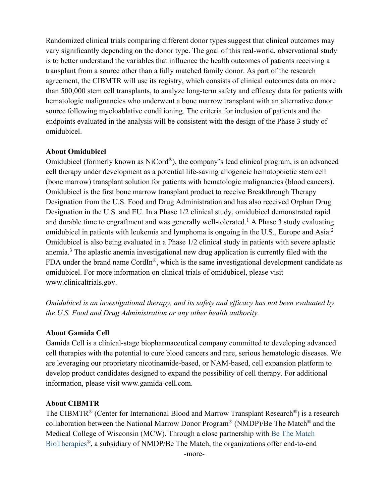Randomized clinical trials comparing different donor types suggest that clinical outcomes may vary significantly depending on the donor type. The goal of this real-world, observational study is to better understand the variables that influence the health outcomes of patients receiving a transplant from a source other than a fully matched family donor. As part of the research agreement, the CIBMTR will use its registry, which consists of clinical outcomes data on more than 500,000 stem cell transplants, to analyze long-term safety and efficacy data for patients with hematologic malignancies who underwent a bone marrow transplant with an alternative donor source following myeloablative conditioning. The criteria for inclusion of patients and the endpoints evaluated in the analysis will be consistent with the design of the Phase 3 study of omidubicel.

#### **About Omidubicel**

Omidubicel (formerly known as NiCord®), the company's lead clinical program, is an advanced cell therapy under development as a potential life-saving allogeneic hematopoietic stem cell (bone marrow) transplant solution for patients with hematologic malignancies (blood cancers). Omidubicel is the first bone marrow transplant product to receive Breakthrough Therapy Designation from the U.S. Food and Drug Administration and has also received Orphan Drug Designation in the U.S. and EU. In a Phase 1/2 clinical study, omidubicel demonstrated rapid and durable time to engraftment and was generally well-tolerated.<sup>1</sup> A Phase 3 study evaluating omidubicel in patients with leukemia and lymphoma is ongoing in the U.S., Europe and Asia.<sup>2</sup> Omidubicel is also being evaluated in a Phase 1/2 clinical study in patients with severe aplastic anemia.<sup>3</sup> The aplastic anemia investigational new drug application is currently filed with the FDA under the brand name CordIn<sup>®</sup>, which is the same investigational development candidate as omidubicel. For more information on clinical trials of omidubicel, please visit www.clinicaltrials.gov.

*Omidubicel is an investigational therapy, and its safety and efficacy has not been evaluated by the U.S. Food and Drug Administration or any other health authority.*

## **About Gamida Cell**

Gamida Cell is a clinical-stage biopharmaceutical company committed to developing advanced cell therapies with the potential to cure blood cancers and rare, serious hematologic diseases. We are leveraging our proprietary nicotinamide-based, or NAM-based, cell expansion platform to develop product candidates designed to expand the possibility of cell therapy. For additional information, please visit www.gamida-cell.com.

## **About CIBMTR**

The CIBMTR<sup>®</sup> (Center for International Blood and Marrow Transplant Research<sup>®</sup>) is a research collaboration between the National Marrow Donor Program® (NMDP)/Be The Match® and the Medical College of Wisconsin (MCW). Through a close partnership with [Be The Match](https://bethematchbiotherapies.com/about-us/?utm_source=gamida_cibmtr_pr&utm_medium=press_release)  [BioTherapies](https://bethematchbiotherapies.com/about-us/?utm_source=gamida_cibmtr_pr&utm_medium=press_release)®, a subsidiary of NMDP/Be The Match, the organizations offer end-to-end